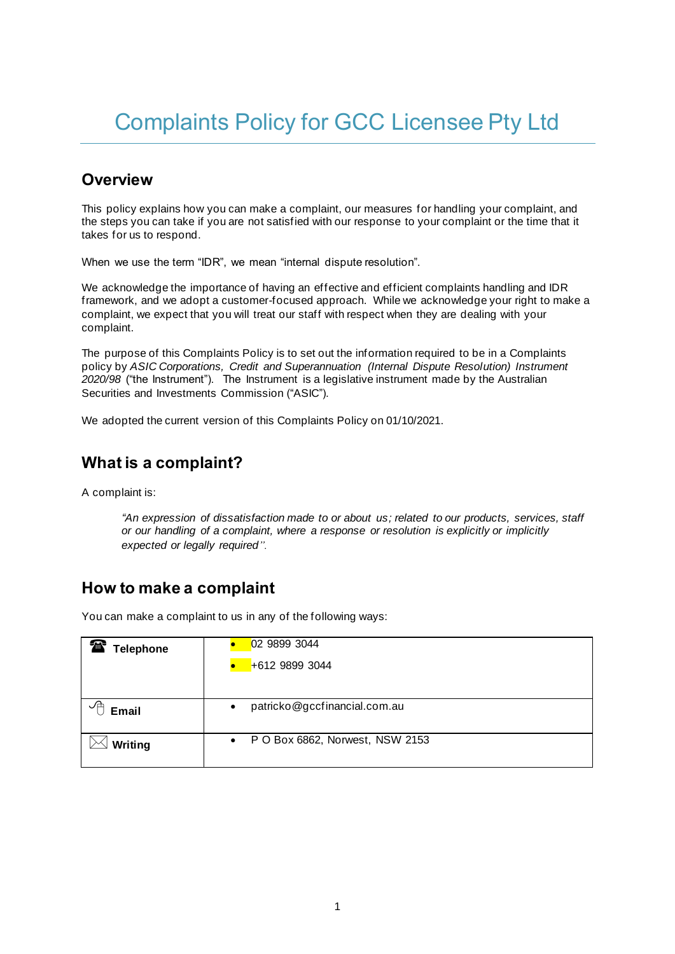# Complaints Policy for GCC Licensee Pty Ltd

### **Overview**

This policy explains how you can make a complaint, our measures for handling your complaint, and the steps you can take if you are not satisfied with our response to your complaint or the time that it takes for us to respond.

When we use the term "IDR", we mean "internal dispute resolution".

We acknowledge the importance of having an effective and efficient complaints handling and IDR framework, and we adopt a customer-focused approach. While we acknowledge your right to make a complaint, we expect that you will treat our staff with respect when they are dealing with your complaint.

The purpose of this Complaints Policy is to set out the information required to be in a Complaints policy by *ASIC Corporations, Credit and Superannuation (Internal Dispute Resolution) Instrument 2020/98* ("the Instrument"). The Instrument is a legislative instrument made by the Australian Securities and Investments Commission ("ASIC").

We adopted the current version of this Complaints Policy on 01/10/2021.

## **What is a complaint?**

A complaint is:

*"An expression of dissatisfaction made to or about us; related to our products, services, staff or our handling of a complaint, where a response or resolution is explicitly or implicitly expected or legally required".*

#### **How to make a complaint**

You can make a complaint to us in any of the following ways:

| 雷<br><b>Telephone</b> | 02 9899 3044                                 |
|-----------------------|----------------------------------------------|
|                       | +612 9899 3044                               |
|                       |                                              |
| ℳ<br><b>Email</b>     | patricko@gccfinancial.com.au<br>$\bullet$    |
| Writing               | P O Box 6862, Norwest, NSW 2153<br>$\bullet$ |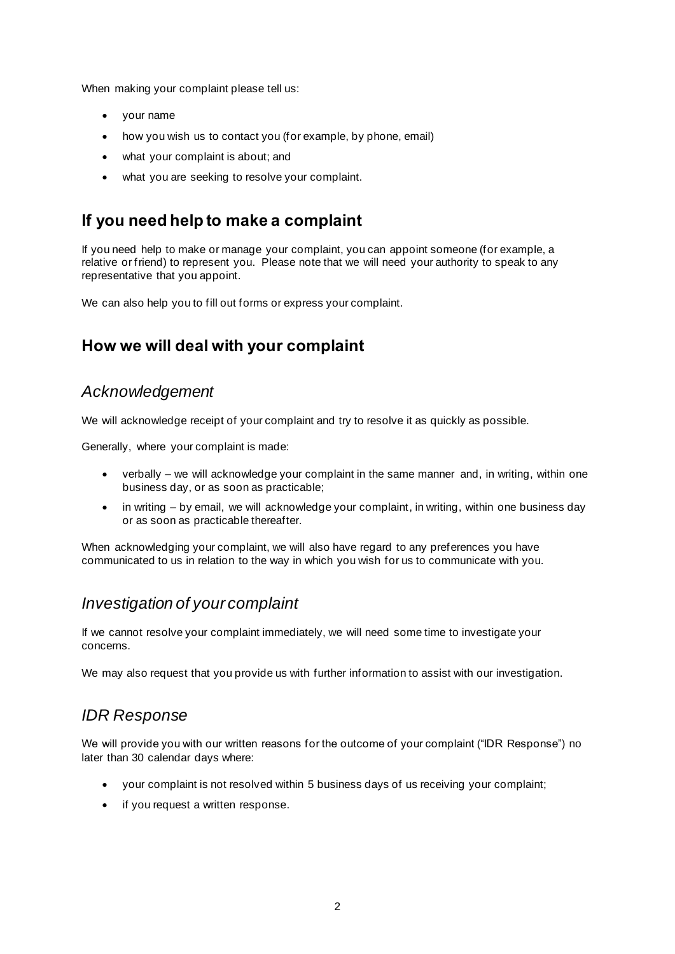When making your complaint please tell us:

- your name
- how you wish us to contact you (for example, by phone, email)
- what your complaint is about; and
- what you are seeking to resolve your complaint.

## **If you need help to make a complaint**

If you need help to make or manage your complaint, you can appoint someone (for example, a relative or friend) to represent you. Please note that we will need your authority to speak to any representative that you appoint.

We can also help you to fill out forms or express your complaint.

## **How we will deal with your complaint**

#### *Acknowledgement*

We will acknowledge receipt of your complaint and try to resolve it as quickly as possible.

Generally, where your complaint is made:

- verbally we will acknowledge your complaint in the same manner and, in writing, within one business day, or as soon as practicable;
- in writing by email, we will acknowledge your complaint, in writing, within one business day or as soon as practicable thereafter.

When acknowledging your complaint, we will also have regard to any preferences you have communicated to us in relation to the way in which you wish for us to communicate with you.

#### *Investigation of your complaint*

If we cannot resolve your complaint immediately, we will need some time to investigate your concerns.

We may also request that you provide us with further information to assist with our investigation.

## *IDR Response*

We will provide you with our written reasons for the outcome of your complaint ("IDR Response") no later than 30 calendar days where:

- your complaint is not resolved within 5 business days of us receiving your complaint;
- if you request a written response.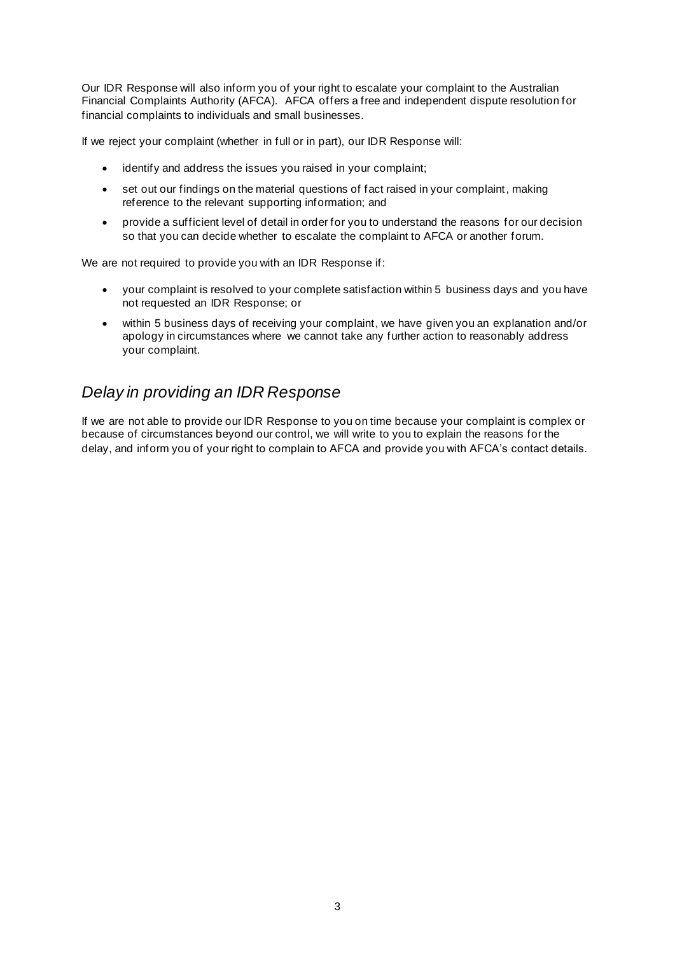Our IDR Response will also inform you of your right to escalate your complaint to the Australian Financial Complaints Authority (AFCA). AFCA offers a free and independent dispute resolution for financial complaints to individuals and small businesses.

If we reject your complaint (whether in full or in part), our IDR Response will:

- identify and address the issues you raised in your complaint;
- set out our findings on the material questions of fact raised in your complaint, making reference to the relevant supporting information; and
- provide a sufficient level of detail in order for you to understand the reasons for our decision so that you can decide whether to escalate the complaint to AFCA or another forum.

We are not required to provide you with an IDR Response if:

- your complaint is resolved to your complete satisfaction within 5 business days and you have not requested an IDR Response; or
- within 5 business days of receiving your complaint, we have given you an explanation and/or apology in circumstances where we cannot take any further action to reasonably address your complaint.

## *Delay in providing an IDR Response*

If we are not able to provide our IDR Response to you on time because your complaint is complex or because of circumstances beyond our control, we will write to you to explain the reasons for the delay, and inform you of your right to complain to AFCA and provide you with AFCA's contact details.